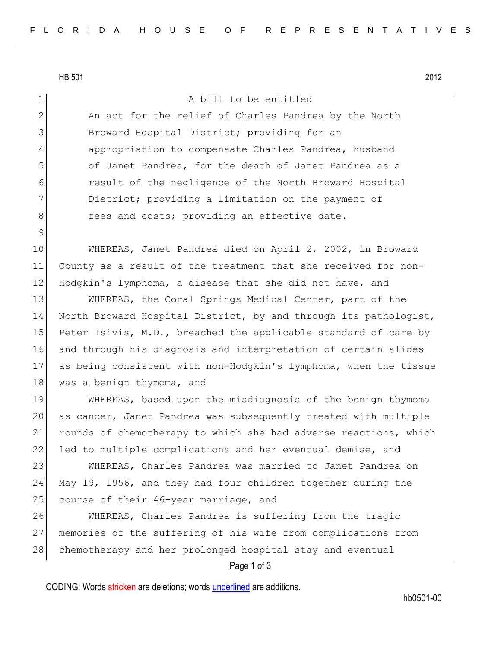HB 501 2012

9

Page 1 of 3 1 a bill to be entitled 2 An act for the relief of Charles Pandrea by the North 3 Broward Hospital District; providing for an 4 appropriation to compensate Charles Pandrea, husband 5 of Janet Pandrea, for the death of Janet Pandrea as a 6 result of the negligence of the North Broward Hospital 7 District; providing a limitation on the payment of 8 Sees and costs; providing an effective date. 10 WHEREAS, Janet Pandrea died on April 2, 2002, in Broward 11 County as a result of the treatment that she received for non-12 Hodgkin's lymphoma, a disease that she did not have, and 13 WHEREAS, the Coral Springs Medical Center, part of the 14 North Broward Hospital District, by and through its pathologist, 15 Peter Tsivis, M.D., breached the applicable standard of care by 16 and through his diagnosis and interpretation of certain slides 17 as being consistent with non-Hodgkin's lymphoma, when the tissue 18 was a benign thymoma, and 19 WHEREAS, based upon the misdiagnosis of the benign thymoma 20 as cancer, Janet Pandrea was subsequently treated with multiple 21 rounds of chemotherapy to which she had adverse reactions, which 22 led to multiple complications and her eventual demise, and 23 WHEREAS, Charles Pandrea was married to Janet Pandrea on 24 May 19, 1956, and they had four children together during the 25 course of their 46-year marriage, and 26 WHEREAS, Charles Pandrea is suffering from the tragic 27 memories of the suffering of his wife from complications from 28 chemotherapy and her prolonged hospital stay and eventual

CODING: Words stricken are deletions; words underlined are additions.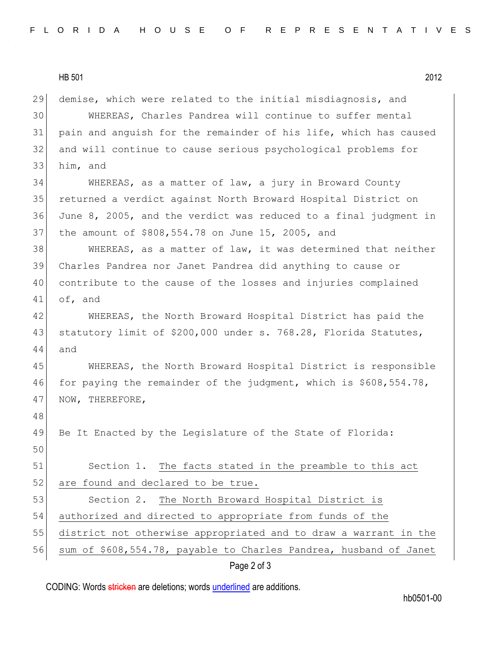HB 501 2012 29 demise, which were related to the initial misdiagnosis, and 30 WHEREAS, Charles Pandrea will continue to suffer mental 31 pain and anguish for the remainder of his life, which has caused 32 and will continue to cause serious psychological problems for 33 him, and 34 WHEREAS, as a matter of law, a jury in Broward County 35 returned a verdict against North Broward Hospital District on 36 June 8, 2005, and the verdict was reduced to a final judgment in 37 the amount of \$808,554.78 on June 15, 2005, and 38 WHEREAS, as a matter of law, it was determined that neither 39 Charles Pandrea nor Janet Pandrea did anything to cause or 40 contribute to the cause of the losses and injuries complained 41 of, and 42 WHEREAS, the North Broward Hospital District has paid the 43 statutory limit of \$200,000 under s. 768.28, Florida Statutes, 44 and 45 WHEREAS, the North Broward Hospital District is responsible 46 for paying the remainder of the judgment, which is \$608,554.78, 47 NOW, THEREFORE, 48 49 Be It Enacted by the Legislature of the State of Florida: 50 51 Section 1. The facts stated in the preamble to this act 52 are found and declared to be true. 53 Section 2. The North Broward Hospital District is 54 authorized and directed to appropriate from funds of the 55 district not otherwise appropriated and to draw a warrant in the 56 sum of \$608,554.78, payable to Charles Pandrea, husband of Janet

Page 2 of 3

CODING: Words stricken are deletions; words underlined are additions.